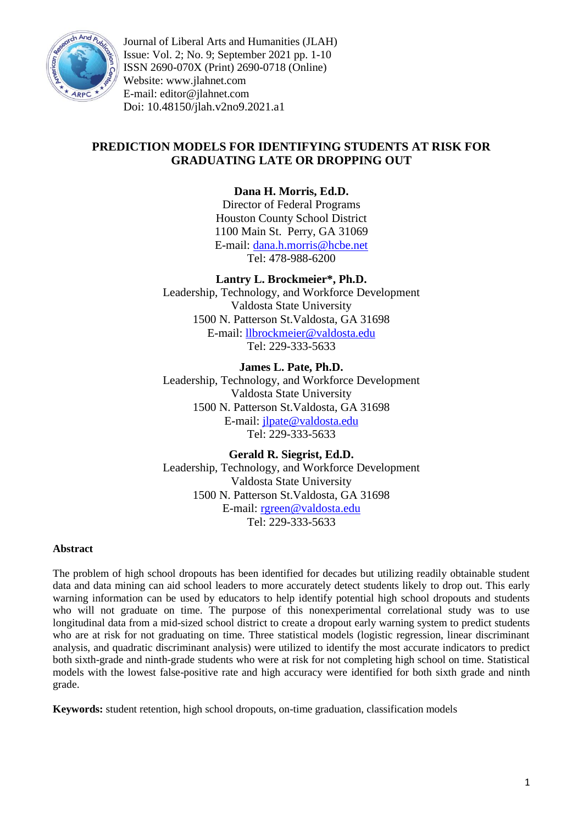

Journal of Liberal Arts and Humanities (JLAH) Issue: Vol. 2; No. 9; September 2021 pp. 1-10 ISSN 2690-070X (Print) 2690-0718 (Online) Website: www.jlahnet.com E-mail: editor@jlahnet.com Doi: 10.48150/jlah.v2no9.2021.a1

# **PREDICTION MODELS FOR IDENTIFYING STUDENTS AT RISK FOR GRADUATING LATE OR DROPPING OUT**

# **Dana H. Morris, Ed.D.**

Director of Federal Programs Houston County School District 1100 Main St. Perry, GA 31069 E-mail: [dana.h.morris@hcbe.net](mailto:dana.h.morris@hcbe.net) Tel: 478-988-6200

## **Lantry L. Brockmeier\*, Ph.D.**

Leadership, Technology, and Workforce Development Valdosta State University 1500 N. Patterson St.Valdosta, GA 31698 E-mail: [llbrockmeier@valdosta.edu](mailto:llbrockmeier@valdosta.edu) Tel: 229-333-5633

**James L. Pate, Ph.D.** Leadership, Technology, and Workforce Development Valdosta State University 1500 N. Patterson St.Valdosta, GA 31698 E-mail: [jlpate@valdosta.edu](mailto:jlpate@valdosta.edu) Tel: 229-333-5633

**Gerald R. Siegrist, Ed.D.** Leadership, Technology, and Workforce Development Valdosta State University 1500 N. Patterson St.Valdosta, GA 31698 E-mail: [rgreen@valdosta.edu](mailto:rgreen@valdosta.edu) Tel: 229-333-5633

## **Abstract**

The problem of high school dropouts has been identified for decades but utilizing readily obtainable student data and data mining can aid school leaders to more accurately detect students likely to drop out. This early warning information can be used by educators to help identify potential high school dropouts and students who will not graduate on time. The purpose of this nonexperimental correlational study was to use longitudinal data from a mid-sized school district to create a dropout early warning system to predict students who are at risk for not graduating on time. Three statistical models (logistic regression, linear discriminant analysis, and quadratic discriminant analysis) were utilized to identify the most accurate indicators to predict both sixth-grade and ninth-grade students who were at risk for not completing high school on time. Statistical models with the lowest false-positive rate and high accuracy were identified for both sixth grade and ninth grade.

**Keywords:** student retention, high school dropouts, on-time graduation, classification models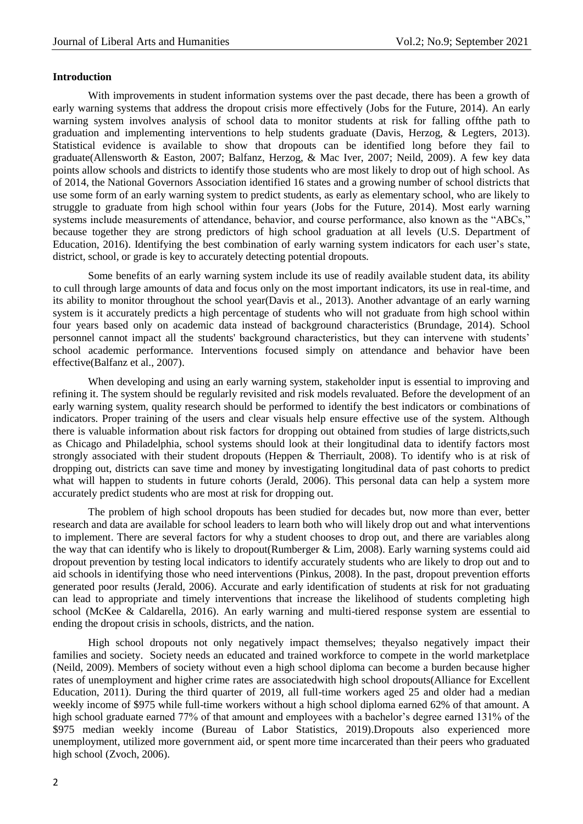#### **Introduction**

With improvements in student information systems over the past decade, there has been a growth of early warning systems that address the dropout crisis more effectively (Jobs for the Future, 2014). An early warning system involves analysis of school data to monitor students at risk for falling offthe path to graduation and implementing interventions to help students graduate (Davis, Herzog, & Legters, 2013). Statistical evidence is available to show that dropouts can be identified long before they fail to graduate(Allensworth & Easton, 2007; Balfanz, Herzog, & Mac Iver, 2007; Neild, 2009). A few key data points allow schools and districts to identify those students who are most likely to drop out of high school. As of 2014, the National Governors Association identified 16 states and a growing number of school districts that use some form of an early warning system to predict students, as early as elementary school, who are likely to struggle to graduate from high school within four years (Jobs for the Future, 2014). Most early warning systems include measurements of attendance, behavior, and course performance, also known as the "ABCs," because together they are strong predictors of high school graduation at all levels (U.S. Department of Education, 2016). Identifying the best combination of early warning system indicators for each user's state, district, school, or grade is key to accurately detecting potential dropouts.

Some benefits of an early warning system include its use of readily available student data, its ability to cull through large amounts of data and focus only on the most important indicators, its use in real-time, and its ability to monitor throughout the school year(Davis et al., 2013). Another advantage of an early warning system is it accurately predicts a high percentage of students who will not graduate from high school within four years based only on academic data instead of background characteristics (Brundage, 2014). School personnel cannot impact all the students' background characteristics, but they can intervene with students' school academic performance. Interventions focused simply on attendance and behavior have been effective(Balfanz et al., 2007).

When developing and using an early warning system, stakeholder input is essential to improving and refining it. The system should be regularly revisited and risk models revaluated. Before the development of an early warning system, quality research should be performed to identify the best indicators or combinations of indicators. Proper training of the users and clear visuals help ensure effective use of the system. Although there is valuable information about risk factors for dropping out obtained from studies of large districts,such as Chicago and Philadelphia, school systems should look at their longitudinal data to identify factors most strongly associated with their student dropouts (Heppen & Therriault, 2008). To identify who is at risk of dropping out, districts can save time and money by investigating longitudinal data of past cohorts to predict what will happen to students in future cohorts (Jerald, 2006). This personal data can help a system more accurately predict students who are most at risk for dropping out.

The problem of high school dropouts has been studied for decades but, now more than ever, better research and data are available for school leaders to learn both who will likely drop out and what interventions to implement. There are several factors for why a student chooses to drop out, and there are variables along the way that can identify who is likely to dropout(Rumberger  $& Lim, 2008$ ). Early warning systems could aid dropout prevention by testing local indicators to identify accurately students who are likely to drop out and to aid schools in identifying those who need interventions (Pinkus, 2008). In the past, dropout prevention efforts generated poor results (Jerald, 2006). Accurate and early identification of students at risk for not graduating can lead to appropriate and timely interventions that increase the likelihood of students completing high school (McKee & Caldarella, 2016). An early warning and multi-tiered response system are essential to ending the dropout crisis in schools, districts, and the nation.

High school dropouts not only negatively impact themselves; theyalso negatively impact their families and society. Society needs an educated and trained workforce to compete in the world marketplace (Neild, 2009). Members of society without even a high school diploma can become a burden because higher rates of unemployment and higher crime rates are associatedwith high school dropouts(Alliance for Excellent Education, 2011). During the third quarter of 2019, all full-time workers aged 25 and older had a median weekly income of \$975 while full-time workers without a high school diploma earned 62% of that amount. A high school graduate earned 77% of that amount and employees with a bachelor's degree earned 131% of the \$975 median weekly income (Bureau of Labor Statistics, 2019).Dropouts also experienced more unemployment, utilized more government aid, or spent more time incarcerated than their peers who graduated high school (Zvoch, 2006).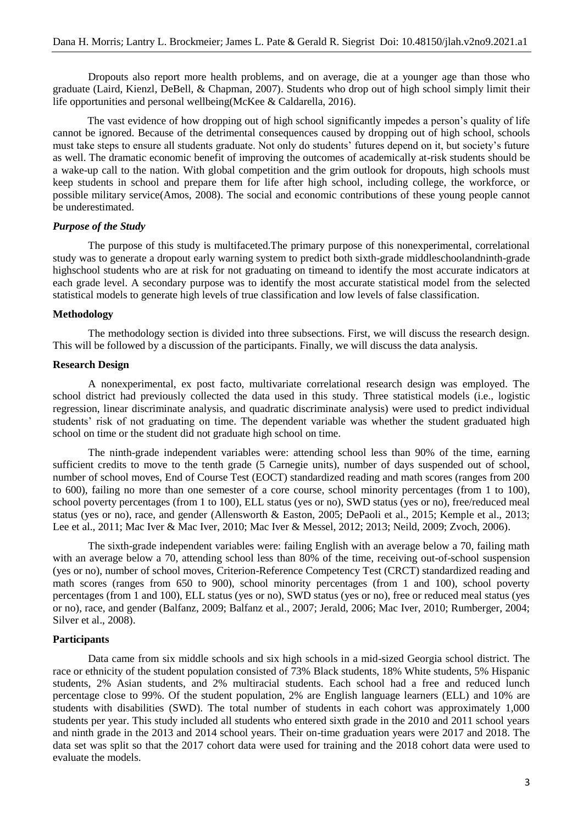Dropouts also report more health problems, and on average, die at a younger age than those who graduate (Laird, Kienzl, DeBell, & Chapman, 2007). Students who drop out of high school simply limit their life opportunities and personal wellbeing(McKee & Caldarella, 2016).

The vast evidence of how dropping out of high school significantly impedes a person's quality of life cannot be ignored. Because of the detrimental consequences caused by dropping out of high school, schools must take steps to ensure all students graduate. Not only do students' futures depend on it, but society's future as well. The dramatic economic benefit of improving the outcomes of academically at-risk students should be a wake-up call to the nation. With global competition and the grim outlook for dropouts, high schools must keep students in school and prepare them for life after high school, including college, the workforce, or possible military service(Amos, 2008). The social and economic contributions of these young people cannot be underestimated.

### *Purpose of the Study*

The purpose of this study is multifaceted.The primary purpose of this nonexperimental, correlational study was to generate a dropout early warning system to predict both sixth-grade middleschoolandninth-grade highschool students who are at risk for not graduating on timeand to identify the most accurate indicators at each grade level. A secondary purpose was to identify the most accurate statistical model from the selected statistical models to generate high levels of true classification and low levels of false classification.

### **Methodology**

The methodology section is divided into three subsections. First, we will discuss the research design. This will be followed by a discussion of the participants. Finally, we will discuss the data analysis.

### **Research Design**

A nonexperimental, ex post facto, multivariate correlational research design was employed. The school district had previously collected the data used in this study. Three statistical models (i.e., logistic regression, linear discriminate analysis, and quadratic discriminate analysis) were used to predict individual students' risk of not graduating on time. The dependent variable was whether the student graduated high school on time or the student did not graduate high school on time.

The ninth-grade independent variables were: attending school less than 90% of the time, earning sufficient credits to move to the tenth grade (5 Carnegie units), number of days suspended out of school, number of school moves. End of Course Test (EOCT) standardized reading and math scores (ranges from 200 to 600), failing no more than one semester of a core course, school minority percentages (from 1 to 100), school poverty percentages (from 1 to 100), ELL status (yes or no), SWD status (yes or no), free/reduced meal status (yes or no), race, and gender (Allensworth & Easton, 2005; DePaoli et al., 2015; Kemple et al., 2013; Lee et al., 2011; Mac Iver & Mac Iver, 2010; Mac Iver & Messel, 2012; 2013; Neild, 2009; Zvoch, 2006).

The sixth-grade independent variables were: failing English with an average below a 70, failing math with an average below a 70, attending school less than 80% of the time, receiving out-of-school suspension (yes or no), number of school moves, Criterion-Reference Competency Test (CRCT) standardized reading and math scores (ranges from 650 to 900), school minority percentages (from 1 and 100), school poverty percentages (from 1 and 100), ELL status (yes or no), SWD status (yes or no), free or reduced meal status (yes or no), race, and gender (Balfanz, 2009; Balfanz et al., 2007; Jerald, 2006; Mac Iver, 2010; Rumberger, 2004; Silver et al., 2008).

## **Participants**

Data came from six middle schools and six high schools in a mid-sized Georgia school district. The race or ethnicity of the student population consisted of 73% Black students, 18% White students, 5% Hispanic students, 2% Asian students, and 2% multiracial students. Each school had a free and reduced lunch percentage close to 99%. Of the student population, 2% are English language learners (ELL) and 10% are students with disabilities (SWD). The total number of students in each cohort was approximately 1,000 students per year. This study included all students who entered sixth grade in the 2010 and 2011 school years and ninth grade in the 2013 and 2014 school years. Their on-time graduation years were 2017 and 2018. The data set was split so that the 2017 cohort data were used for training and the 2018 cohort data were used to evaluate the models.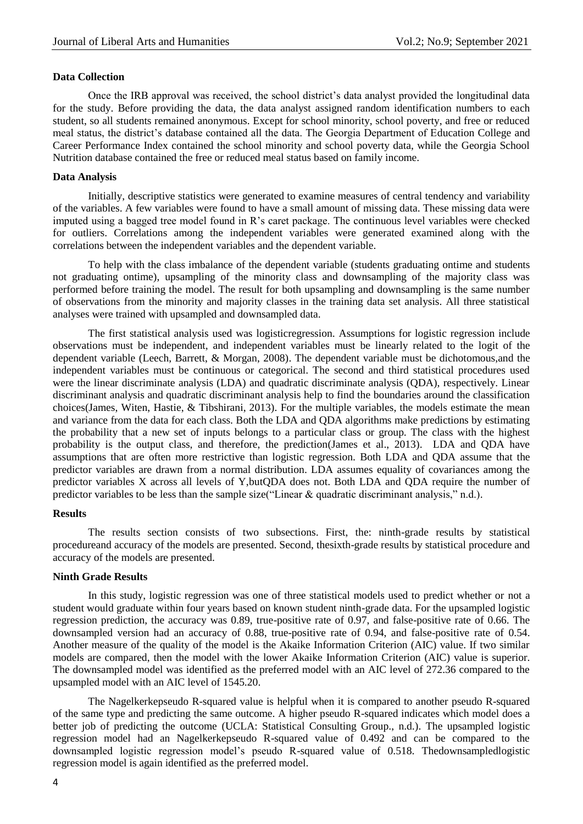#### **Data Collection**

Once the IRB approval was received, the school district's data analyst provided the longitudinal data for the study. Before providing the data, the data analyst assigned random identification numbers to each student, so all students remained anonymous. Except for school minority, school poverty, and free or reduced meal status, the district's database contained all the data. The Georgia Department of Education College and Career Performance Index contained the school minority and school poverty data, while the Georgia School Nutrition database contained the free or reduced meal status based on family income.

#### **Data Analysis**

Initially, descriptive statistics were generated to examine measures of central tendency and variability of the variables. A few variables were found to have a small amount of missing data. These missing data were imputed using a bagged tree model found in R's caret package. The continuous level variables were checked for outliers. Correlations among the independent variables were generated examined along with the correlations between the independent variables and the dependent variable.

To help with the class imbalance of the dependent variable (students graduating ontime and students not graduating ontime), upsampling of the minority class and downsampling of the majority class was performed before training the model. The result for both upsampling and downsampling is the same number of observations from the minority and majority classes in the training data set analysis. All three statistical analyses were trained with upsampled and downsampled data.

The first statistical analysis used was logisticregression. Assumptions for logistic regression include observations must be independent, and independent variables must be linearly related to the logit of the dependent variable (Leech, Barrett, & Morgan, 2008). The dependent variable must be dichotomous,and the independent variables must be continuous or categorical. The second and third statistical procedures used were the linear discriminate analysis (LDA) and quadratic discriminate analysis (QDA), respectively. Linear discriminant analysis and quadratic discriminant analysis help to find the boundaries around the classification choices(James, Witen, Hastie, & Tibshirani, 2013). For the multiple variables, the models estimate the mean and variance from the data for each class. Both the LDA and QDA algorithms make predictions by estimating the probability that a new set of inputs belongs to a particular class or group. The class with the highest probability is the output class, and therefore, the prediction(James et al., 2013). LDA and QDA have assumptions that are often more restrictive than logistic regression. Both LDA and QDA assume that the predictor variables are drawn from a normal distribution. LDA assumes equality of covariances among the predictor variables X across all levels of Y,butQDA does not. Both LDA and QDA require the number of predictor variables to be less than the sample size("Linear  $\&$  quadratic discriminant analysis," n.d.).

#### **Results**

The results section consists of two subsections. First, the: ninth-grade results by statistical procedureand accuracy of the models are presented. Second, thesixth-grade results by statistical procedure and accuracy of the models are presented.

## **Ninth Grade Results**

In this study, logistic regression was one of three statistical models used to predict whether or not a student would graduate within four years based on known student ninth-grade data. For the upsampled logistic regression prediction, the accuracy was 0.89, true-positive rate of 0.97, and false-positive rate of 0.66. The downsampled version had an accuracy of 0.88, true-positive rate of 0.94, and false-positive rate of 0.54. Another measure of the quality of the model is the Akaike Information Criterion (AIC) value. If two similar models are compared, then the model with the lower Akaike Information Criterion (AIC) value is superior. The downsampled model was identified as the preferred model with an AIC level of 272.36 compared to the upsampled model with an AIC level of 1545.20.

The Nagelkerkepseudo R-squared value is helpful when it is compared to another pseudo R-squared of the same type and predicting the same outcome. A higher pseudo R-squared indicates which model does a better job of predicting the outcome (UCLA: Statistical Consulting Group., n.d.). The upsampled logistic regression model had an Nagelkerkepseudo R-squared value of 0.492 and can be compared to the downsampled logistic regression model's pseudo R-squared value of 0.518. Thedownsampledlogistic regression model is again identified as the preferred model.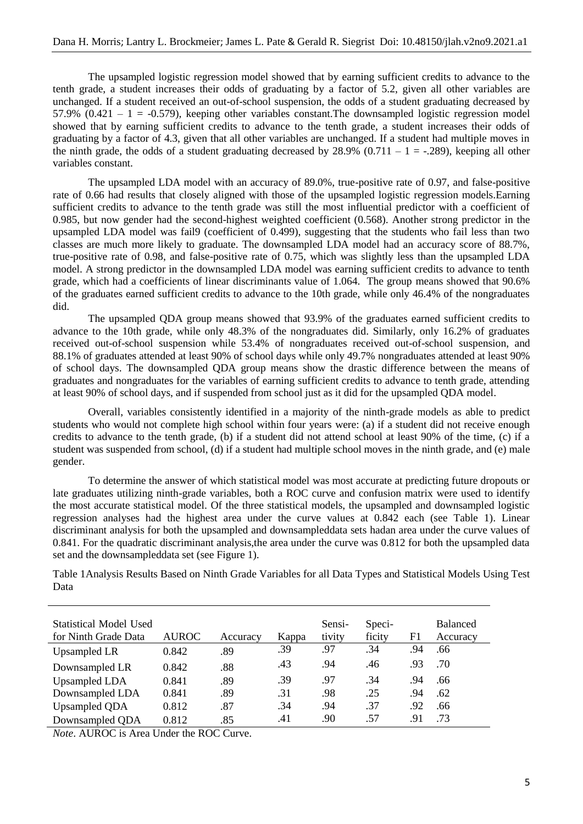The upsampled logistic regression model showed that by earning sufficient credits to advance to the tenth grade, a student increases their odds of graduating by a factor of 5.2, given all other variables are unchanged. If a student received an out-of-school suspension, the odds of a student graduating decreased by 57.9% (0.421 – 1 = -0.579), keeping other variables constant. The downsampled logistic regression model showed that by earning sufficient credits to advance to the tenth grade, a student increases their odds of graduating by a factor of 4.3, given that all other variables are unchanged. If a student had multiple moves in the ninth grade, the odds of a student graduating decreased by 28.9% (0.711 – 1 = -.289), keeping all other variables constant.

The upsampled LDA model with an accuracy of 89.0%, true-positive rate of 0.97, and false-positive rate of 0.66 had results that closely aligned with those of the upsampled logistic regression models.Earning sufficient credits to advance to the tenth grade was still the most influential predictor with a coefficient of 0.985, but now gender had the second-highest weighted coefficient (0.568). Another strong predictor in the upsampled LDA model was fail9 (coefficient of 0.499), suggesting that the students who fail less than two classes are much more likely to graduate. The downsampled LDA model had an accuracy score of 88.7%, true-positive rate of 0.98, and false-positive rate of 0.75, which was slightly less than the upsampled LDA model. A strong predictor in the downsampled LDA model was earning sufficient credits to advance to tenth grade, which had a coefficients of linear discriminants value of 1.064. The group means showed that 90.6% of the graduates earned sufficient credits to advance to the 10th grade, while only 46.4% of the nongraduates did.

The upsampled QDA group means showed that 93.9% of the graduates earned sufficient credits to advance to the 10th grade, while only 48.3% of the nongraduates did. Similarly, only 16.2% of graduates received out-of-school suspension while 53.4% of nongraduates received out-of-school suspension, and 88.1% of graduates attended at least 90% of school days while only 49.7% nongraduates attended at least 90% of school days. The downsampled QDA group means show the drastic difference between the means of graduates and nongraduates for the variables of earning sufficient credits to advance to tenth grade, attending at least 90% of school days, and if suspended from school just as it did for the upsampled QDA model.

Overall, variables consistently identified in a majority of the ninth-grade models as able to predict students who would not complete high school within four years were: (a) if a student did not receive enough credits to advance to the tenth grade, (b) if a student did not attend school at least 90% of the time, (c) if a student was suspended from school, (d) if a student had multiple school moves in the ninth grade, and (e) male gender.

To determine the answer of which statistical model was most accurate at predicting future dropouts or late graduates utilizing ninth-grade variables, both a ROC curve and confusion matrix were used to identify the most accurate statistical model. Of the three statistical models, the upsampled and downsampled logistic regression analyses had the highest area under the curve values at 0.842 each (see Table 1). Linear discriminant analysis for both the upsampled and downsampleddata sets hadan area under the curve values of 0.841. For the quadratic discriminant analysis,the area under the curve was 0.812 for both the upsampled data set and the downsampleddata set (see Figure 1).

Table 1Analysis Results Based on Ninth Grade Variables for all Data Types and Statistical Models Using Test Data

| Statistical Model Used |              |          |       | Sensi- | Speci- |     | <b>Balanced</b> |
|------------------------|--------------|----------|-------|--------|--------|-----|-----------------|
| for Ninth Grade Data   | <b>AUROC</b> | Accuracy | Kappa | tivity | ficity | F1  | Accuracy        |
| Upsampled LR           | 0.842        | .89      | .39   | .97    | .34    | .94 | .66             |
| Downsampled LR         | 0.842        | .88      | .43   | .94    | .46    | .93 | .70             |
| <b>Upsampled LDA</b>   | 0.841        | .89      | .39   | .97    | .34    | .94 | .66             |
| Downsampled LDA        | 0.841        | .89      | .31   | .98    | .25    | .94 | .62             |
| <b>Upsampled QDA</b>   | 0.812        | .87      | .34   | .94    | .37    | .92 | .66             |
| Downsampled QDA        | 0.812        | .85      | .41   | .90    | .57    | 91  | .73             |

*Note*. AUROC is Area Under the ROC Curve.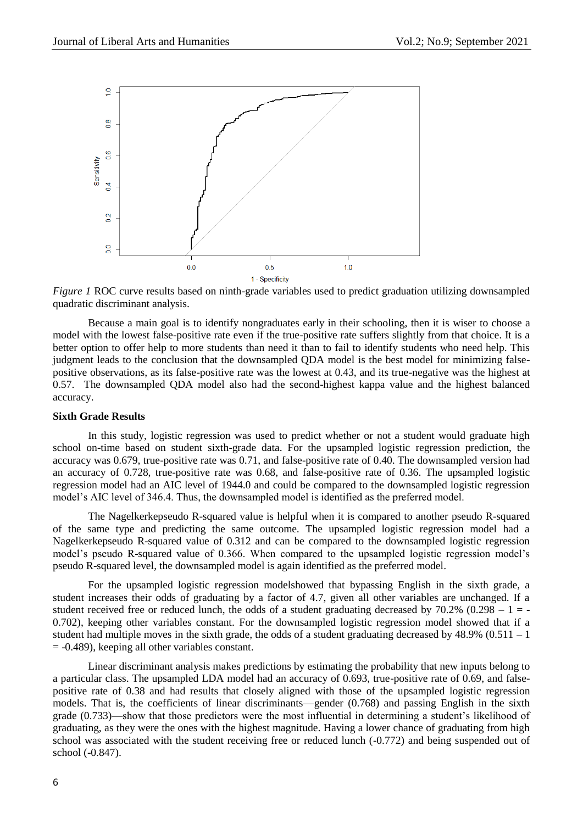

*Figure 1* ROC curve results based on ninth-grade variables used to predict graduation utilizing downsampled quadratic discriminant analysis.

Because a main goal is to identify nongraduates early in their schooling, then it is wiser to choose a model with the lowest false-positive rate even if the true-positive rate suffers slightly from that choice. It is a better option to offer help to more students than need it than to fail to identify students who need help. This judgment leads to the conclusion that the downsampled QDA model is the best model for minimizing falsepositive observations, as its false-positive rate was the lowest at 0.43, and its true-negative was the highest at 0.57. The downsampled QDA model also had the second-highest kappa value and the highest balanced accuracy.

## **Sixth Grade Results**

In this study, logistic regression was used to predict whether or not a student would graduate high school on-time based on student sixth-grade data. For the upsampled logistic regression prediction, the accuracy was 0.679, true-positive rate was 0.71, and false-positive rate of 0.40. The downsampled version had an accuracy of 0.728, true-positive rate was 0.68, and false-positive rate of 0.36. The upsampled logistic regression model had an AIC level of 1944.0 and could be compared to the downsampled logistic regression model's AIC level of 346.4. Thus, the downsampled model is identified as the preferred model.

The Nagelkerkepseudo R-squared value is helpful when it is compared to another pseudo R-squared of the same type and predicting the same outcome. The upsampled logistic regression model had a Nagelkerkepseudo R-squared value of 0.312 and can be compared to the downsampled logistic regression model's pseudo R-squared value of 0.366. When compared to the upsampled logistic regression model's pseudo R-squared level, the downsampled model is again identified as the preferred model.

For the upsampled logistic regression modelshowed that bypassing English in the sixth grade, a student increases their odds of graduating by a factor of 4.7, given all other variables are unchanged. If a student received free or reduced lunch, the odds of a student graduating decreased by 70.2% (0.298 – 1 = -0.702), keeping other variables constant. For the downsampled logistic regression model showed that if a student had multiple moves in the sixth grade, the odds of a student graduating decreased by  $48.9\%$  (0.511 – 1)  $= -0.489$ ), keeping all other variables constant.

Linear discriminant analysis makes predictions by estimating the probability that new inputs belong to a particular class. The upsampled LDA model had an accuracy of 0.693, true-positive rate of 0.69, and falsepositive rate of 0.38 and had results that closely aligned with those of the upsampled logistic regression models. That is, the coefficients of linear discriminants—gender (0.768) and passing English in the sixth grade (0.733)—show that those predictors were the most influential in determining a student's likelihood of graduating, as they were the ones with the highest magnitude. Having a lower chance of graduating from high school was associated with the student receiving free or reduced lunch (-0.772) and being suspended out of school (-0.847).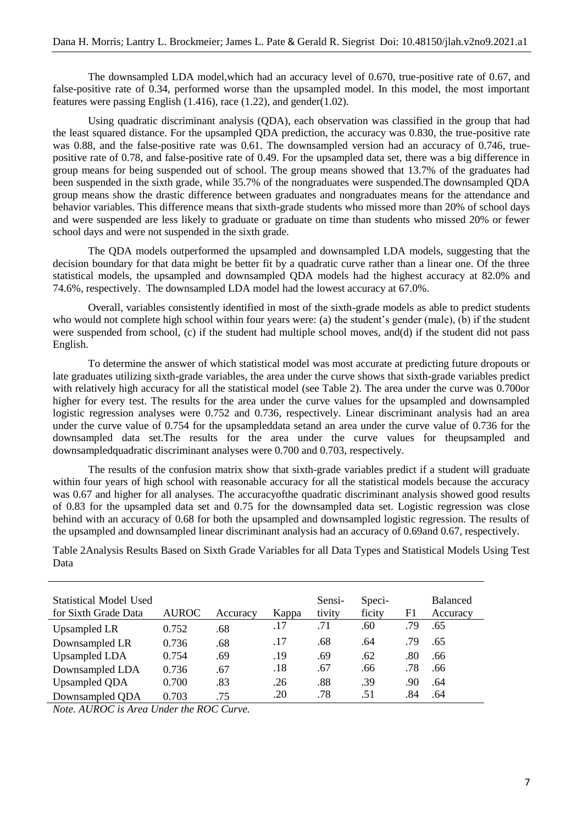The downsampled LDA model,which had an accuracy level of 0.670, true-positive rate of 0.67, and false-positive rate of 0.34, performed worse than the upsampled model. In this model, the most important features were passing English (1.416), race (1.22), and gender(1.02).

Using quadratic discriminant analysis (QDA), each observation was classified in the group that had the least squared distance. For the upsampled QDA prediction, the accuracy was 0.830, the true-positive rate was 0.88, and the false-positive rate was 0.61. The downsampled version had an accuracy of 0.746, truepositive rate of 0.78, and false-positive rate of 0.49. For the upsampled data set, there was a big difference in group means for being suspended out of school. The group means showed that 13.7% of the graduates had been suspended in the sixth grade, while 35.7% of the nongraduates were suspended.The downsampled QDA group means show the drastic difference between graduates and nongraduates means for the attendance and behavior variables. This difference means that sixth-grade students who missed more than 20% of school days and were suspended are less likely to graduate or graduate on time than students who missed 20% or fewer school days and were not suspended in the sixth grade.

The QDA models outperformed the upsampled and downsampled LDA models, suggesting that the decision boundary for that data might be better fit by a quadratic curve rather than a linear one. Of the three statistical models, the upsampled and downsampled QDA models had the highest accuracy at 82.0% and 74.6%, respectively. The downsampled LDA model had the lowest accuracy at 67.0%.

Overall, variables consistently identified in most of the sixth-grade models as able to predict students who would not complete high school within four years were: (a) the student's gender (male), (b) if the student were suspended from school, (c) if the student had multiple school moves, and(d) if the student did not pass English.

To determine the answer of which statistical model was most accurate at predicting future dropouts or late graduates utilizing sixth-grade variables, the area under the curve shows that sixth-grade variables predict with relatively high accuracy for all the statistical model (see Table 2). The area under the curve was 0.700or higher for every test. The results for the area under the curve values for the upsampled and downsampled logistic regression analyses were 0.752 and 0.736, respectively. Linear discriminant analysis had an area under the curve value of 0.754 for the upsampleddata setand an area under the curve value of 0.736 for the downsampled data set.The results for the area under the curve values for theupsampled and downsampledquadratic discriminant analyses were 0.700 and 0.703, respectively.

The results of the confusion matrix show that sixth-grade variables predict if a student will graduate within four years of high school with reasonable accuracy for all the statistical models because the accuracy was 0.67 and higher for all analyses. The accuracyofthe quadratic discriminant analysis showed good results of 0.83 for the upsampled data set and 0.75 for the downsampled data set. Logistic regression was close behind with an accuracy of 0.68 for both the upsampled and downsampled logistic regression. The results of the upsampled and downsampled linear discriminant analysis had an accuracy of 0.69and 0.67, respectively.

| <b>Statistical Model Used</b> |              |          |       | Sensi- | Speci- |     | <b>Balanced</b> |
|-------------------------------|--------------|----------|-------|--------|--------|-----|-----------------|
| for Sixth Grade Data          | <b>AUROC</b> | Accuracy | Kappa | tivity | ficity | F1  | Accuracy        |
| Upsampled LR                  | 0.752        | .68      | .17   | .71    | .60    | .79 | .65             |
| Downsampled LR                | 0.736        | .68      | .17   | .68    | .64    | .79 | .65             |
| <b>Upsampled LDA</b>          | 0.754        | .69      | .19   | .69    | .62    | .80 | .66             |
| Downsampled LDA               | 0.736        | .67      | .18   | .67    | .66    | .78 | .66             |
| <b>Upsampled QDA</b>          | 0.700        | .83      | .26   | .88    | .39    | .90 | .64             |
| Downsampled QDA               | 0.703        | .75      | .20   | .78    | .51    | .84 | .64             |

Table 2Analysis Results Based on Sixth Grade Variables for all Data Types and Statistical Models Using Test Data

*Note. AUROC is Area Under the ROC Curve.*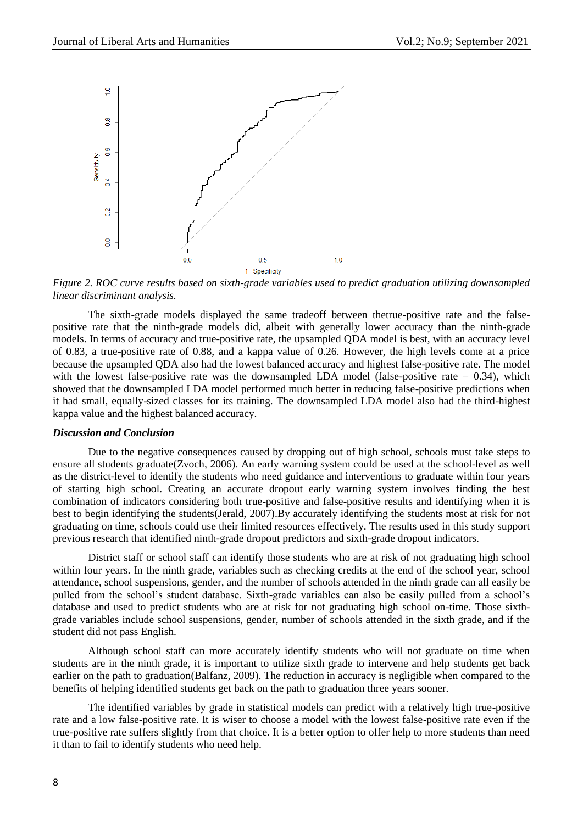

*Figure 2. ROC curve results based on sixth-grade variables used to predict graduation utilizing downsampled linear discriminant analysis.*

The sixth-grade models displayed the same tradeoff between thetrue-positive rate and the falsepositive rate that the ninth-grade models did, albeit with generally lower accuracy than the ninth-grade models. In terms of accuracy and true-positive rate, the upsampled QDA model is best, with an accuracy level of 0.83, a true-positive rate of 0.88, and a kappa value of 0.26. However, the high levels come at a price because the upsampled QDA also had the lowest balanced accuracy and highest false-positive rate. The model with the lowest false-positive rate was the downsampled LDA model (false-positive rate  $= 0.34$ ), which showed that the downsampled LDA model performed much better in reducing false-positive predictions when it had small, equally-sized classes for its training. The downsampled LDA model also had the third-highest kappa value and the highest balanced accuracy.

## *Discussion and Conclusion*

Due to the negative consequences caused by dropping out of high school, schools must take steps to ensure all students graduate(Zvoch, 2006). An early warning system could be used at the school-level as well as the district-level to identify the students who need guidance and interventions to graduate within four years of starting high school. Creating an accurate dropout early warning system involves finding the best combination of indicators considering both true-positive and false-positive results and identifying when it is best to begin identifying the students(Jerald, 2007).By accurately identifying the students most at risk for not graduating on time, schools could use their limited resources effectively. The results used in this study support previous research that identified ninth-grade dropout predictors and sixth-grade dropout indicators.

District staff or school staff can identify those students who are at risk of not graduating high school within four years. In the ninth grade, variables such as checking credits at the end of the school year, school attendance, school suspensions, gender, and the number of schools attended in the ninth grade can all easily be pulled from the school's student database. Sixth-grade variables can also be easily pulled from a school's database and used to predict students who are at risk for not graduating high school on-time. Those sixthgrade variables include school suspensions, gender, number of schools attended in the sixth grade, and if the student did not pass English.

Although school staff can more accurately identify students who will not graduate on time when students are in the ninth grade, it is important to utilize sixth grade to intervene and help students get back earlier on the path to graduation(Balfanz, 2009). The reduction in accuracy is negligible when compared to the benefits of helping identified students get back on the path to graduation three years sooner.

The identified variables by grade in statistical models can predict with a relatively high true-positive rate and a low false-positive rate. It is wiser to choose a model with the lowest false-positive rate even if the true-positive rate suffers slightly from that choice. It is a better option to offer help to more students than need it than to fail to identify students who need help.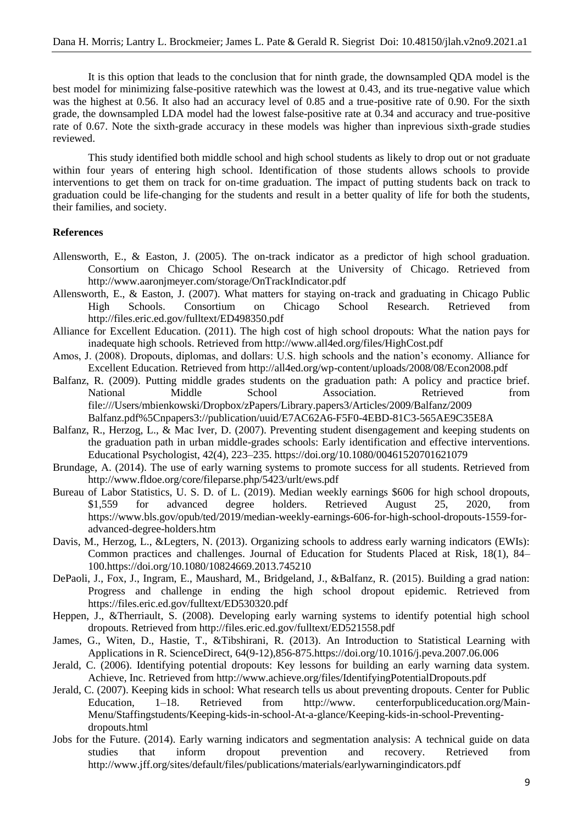It is this option that leads to the conclusion that for ninth grade, the downsampled QDA model is the best model for minimizing false-positive ratewhich was the lowest at 0.43, and its true-negative value which was the highest at 0.56. It also had an accuracy level of 0.85 and a true-positive rate of 0.90. For the sixth grade, the downsampled LDA model had the lowest false-positive rate at 0.34 and accuracy and true-positive rate of 0.67. Note the sixth-grade accuracy in these models was higher than inprevious sixth-grade studies reviewed.

This study identified both middle school and high school students as likely to drop out or not graduate within four years of entering high school. Identification of those students allows schools to provide interventions to get them on track for on-time graduation. The impact of putting students back on track to graduation could be life-changing for the students and result in a better quality of life for both the students, their families, and society.

## **References**

- Allensworth, E., & Easton, J. (2005). The on-track indicator as a predictor of high school graduation. Consortium on Chicago School Research at the University of Chicago. Retrieved from http://www.aaronjmeyer.com/storage/OnTrackIndicator.pdf
- Allensworth, E., & Easton, J. (2007). What matters for staying on-track and graduating in Chicago Public High Schools. Consortium on Chicago School Research. Retrieved from http://files.eric.ed.gov/fulltext/ED498350.pdf
- Alliance for Excellent Education. (2011). The high cost of high school dropouts: What the nation pays for inadequate high schools. Retrieved from http://www.all4ed.org/files/HighCost.pdf
- Amos, J. (2008). Dropouts, diplomas, and dollars: U.S. high schools and the nation's economy. Alliance for Excellent Education. Retrieved from http://all4ed.org/wp-content/uploads/2008/08/Econ2008.pdf
- Balfanz, R. (2009). Putting middle grades students on the graduation path: A policy and practice brief. National Middle School Association. Retrieved from file:///Users/mbienkowski/Dropbox/zPapers/Library.papers3/Articles/2009/Balfanz/2009 Balfanz.pdf%5Cnpapers3://publication/uuid/E7AC62A6-F5F0-4EBD-81C3-565AE9C35E8A
- Balfanz, R., Herzog, L., & Mac Iver, D. (2007). Preventing student disengagement and keeping students on the graduation path in urban middle-grades schools: Early identification and effective interventions. Educational Psychologist, 42(4), 223–235. https://doi.org/10.1080/00461520701621079
- Brundage, A. (2014). The use of early warning systems to promote success for all students. Retrieved from http://www.fldoe.org/core/fileparse.php/5423/urlt/ews.pdf
- Bureau of Labor Statistics, U. S. D. of L. (2019). Median weekly earnings \$606 for high school dropouts, \$1,559 for advanced degree holders. Retrieved August 25, 2020, from https://www.bls.gov/opub/ted/2019/median-weekly-earnings-606-for-high-school-dropouts-1559-foradvanced-degree-holders.htm
- Davis, M., Herzog, L., &Legters, N. (2013). Organizing schools to address early warning indicators (EWIs): Common practices and challenges. Journal of Education for Students Placed at Risk, 18(1), 84– 100.https://doi.org/10.1080/10824669.2013.745210
- DePaoli, J., Fox, J., Ingram, E., Maushard, M., Bridgeland, J., &Balfanz, R. (2015). Building a grad nation: Progress and challenge in ending the high school dropout epidemic. Retrieved from https://files.eric.ed.gov/fulltext/ED530320.pdf
- Heppen, J., &Therriault, S. (2008). Developing early warning systems to identify potential high school dropouts. Retrieved from http://files.eric.ed.gov/fulltext/ED521558.pdf
- James, G., Witen, D., Hastie, T., &Tibshirani, R. (2013). An Introduction to Statistical Learning with Applications in R. ScienceDirect, 64(9-12),856-875.https://doi.org/10.1016/j.peva.2007.06.006
- Jerald, C. (2006). Identifying potential dropouts: Key lessons for building an early warning data system. Achieve, Inc. Retrieved from http://www.achieve.org/files/IdentifyingPotentialDropouts.pdf
- Jerald, C. (2007). Keeping kids in school: What research tells us about preventing dropouts. Center for Public Education, 1–18. Retrieved from http://www. centerforpubliceducation.org/Main-Menu/Staffingstudents/Keeping-kids-in-school-At-a-glance/Keeping-kids-in-school-Preventingdropouts.html
- Jobs for the Future. (2014). Early warning indicators and segmentation analysis: A technical guide on data studies that inform dropout prevention and recovery. Retrieved from http://www.jff.org/sites/default/files/publications/materials/earlywarningindicators.pdf